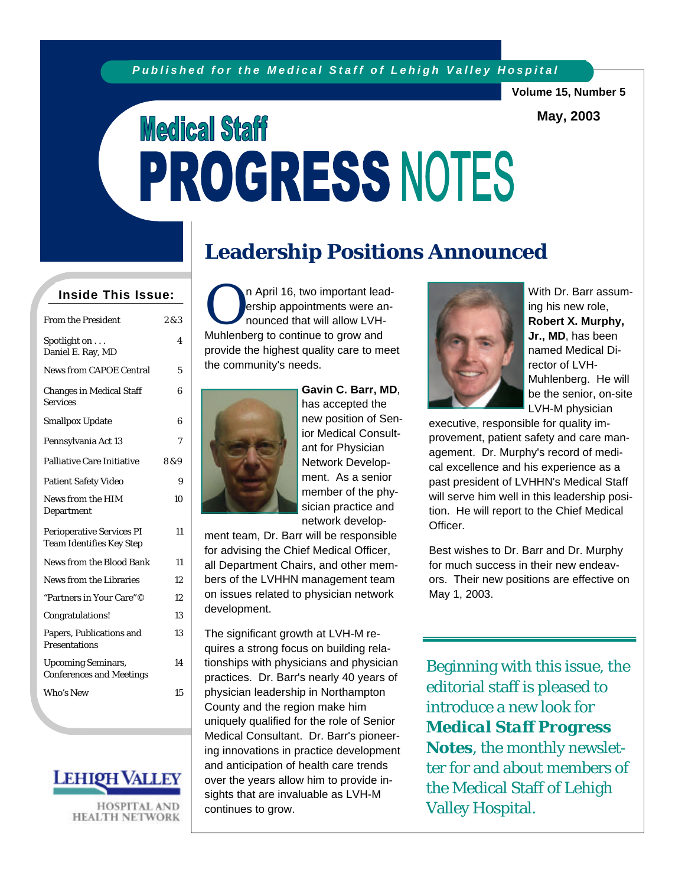*Published for the Medical Staff of Lehigh Valley Hospital*

**Volume 15, Number 5**

**May, 2003**

# **Medical Staff** PROGRESS NOTES

## **Leadership Positions Announced**

### **Inside This Issue:**

| <b>From the President</b>                                    | 2&3 |
|--------------------------------------------------------------|-----|
| Spotlight on $\dots$<br>Daniel E. Ray, MD                    | 4   |
| <b>News from CAPOE Central</b>                               | 5   |
| Changes in Medical Staff<br><b>Services</b>                  | 6   |
| <b>Smallpox Update</b>                                       | 6   |
| Pennsylvania Act 13                                          | 7   |
| Palliative Care Initiative                                   | 8&9 |
| <b>Patient Safety Video</b>                                  | 9   |
| News from the HIM<br>Department                              | 10  |
| <b>Perioperative Services PI</b><br>Team Identifies Key Step | 11  |
| News from the Blood Bank                                     | 11  |
| News from the Libraries                                      | 12  |
| "Partners in Your Care"©                                     | 12  |
| Congratulations!                                             | 13  |
| Papers, Publications and<br>Presentations                    | 13  |
| <b>Upcoming Seminars,</b><br><b>Conferences and Meetings</b> | 14  |
| Who's New                                                    | 15  |



**HOSPITAL AND HEALTH NETWORK** 

On April 16, two important leadership appointments were an nounced that will allow LVH-<br>Muhlenberg to continue to grow and n April 16, two important leadership appointments were announced that will allow LVHprovide the highest quality care to meet the community's needs.



**Gavin C. Barr, MD**, has accepted the new position of Senior Medical Consultant for Physician Network Development. As a senior member of the physician practice and network develop-

ment team, Dr. Barr will be responsible for advising the Chief Medical Officer, all Department Chairs, and other members of the LVHHN management team on issues related to physician network development.

The significant growth at LVH-M requires a strong focus on building relationships with physicians and physician practices. Dr. Barr's nearly 40 years of physician leadership in Northampton County and the region make him uniquely qualified for the role of Senior Medical Consultant. Dr. Barr's pioneering innovations in practice development and anticipation of health care trends over the years allow him to provide insights that are invaluable as LVH-M continues to grow.



With Dr. Barr assuming his new role, **Robert X. Murphy, Jr., MD**, has been named Medical Director of LVH-Muhlenberg. He will be the senior, on-site LVH-M physician

executive, responsible for quality improvement, patient safety and care management. Dr. Murphy's record of medical excellence and his experience as a past president of LVHHN's Medical Staff will serve him well in this leadership position. He will report to the Chief Medical Officer.

Best wishes to Dr. Barr and Dr. Murphy for much success in their new endeavors. Their new positions are effective on May 1, 2003.

Beginning with this issue, the editorial staff is pleased to introduce a new look for *Medical Staff Progress Notes*, the monthly newsletter for and about members of the Medical Staff of Lehigh Valley Hospital.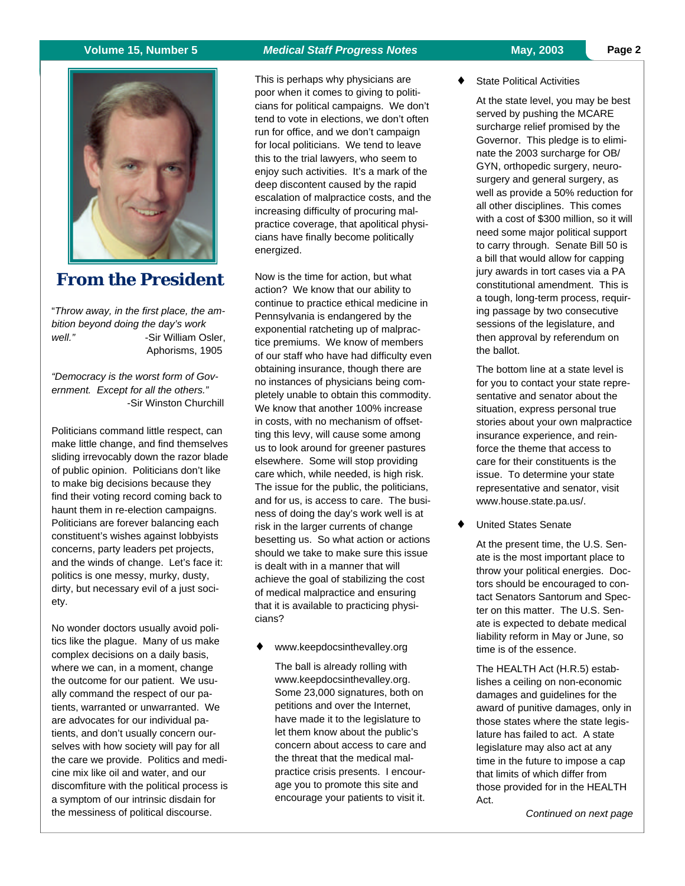

### **From the President**

"*Throw away, in the first place, the ambition beyond doing the day's work well.*" -Sir William Osler, Aphorisms, 1905

*"Democracy is the worst form of Government. Except for all the others."*  -Sir Winston Churchill

Politicians command little respect, can make little change, and find themselves sliding irrevocably down the razor blade of public opinion. Politicians don't like to make big decisions because they find their voting record coming back to haunt them in re-election campaigns. Politicians are forever balancing each constituent's wishes against lobbyists concerns, party leaders pet projects, and the winds of change. Let's face it: politics is one messy, murky, dusty, dirty, but necessary evil of a just society.

No wonder doctors usually avoid politics like the plague. Many of us make complex decisions on a daily basis, where we can, in a moment, change the outcome for our patient. We usually command the respect of our patients, warranted or unwarranted. We are advocates for our individual patients, and don't usually concern ourselves with how society will pay for all the care we provide. Politics and medicine mix like oil and water, and our discomfiture with the political process is a symptom of our intrinsic disdain for the messiness of political discourse.

### **Volume 15, Number 5** *Medical Staff Progress Notes* **May, 2003**

This is perhaps why physicians are poor when it comes to giving to politicians for political campaigns. We don't tend to vote in elections, we don't often run for office, and we don't campaign for local politicians. We tend to leave this to the trial lawyers, who seem to enjoy such activities. It's a mark of the deep discontent caused by the rapid escalation of malpractice costs, and the increasing difficulty of procuring malpractice coverage, that apolitical physicians have finally become politically energized.

Now is the time for action, but what action? We know that our ability to continue to practice ethical medicine in Pennsylvania is endangered by the exponential ratcheting up of malpractice premiums. We know of members of our staff who have had difficulty even obtaining insurance, though there are no instances of physicians being completely unable to obtain this commodity. We know that another 100% increase in costs, with no mechanism of offsetting this levy, will cause some among us to look around for greener pastures elsewhere. Some will stop providing care which, while needed, is high risk. The issue for the public, the politicians, and for us, is access to care. The business of doing the day's work well is at risk in the larger currents of change besetting us. So what action or actions should we take to make sure this issue is dealt with in a manner that will achieve the goal of stabilizing the cost of medical malpractice and ensuring that it is available to practicing physicians?

- www.keepdocsinthevalley.org
	- The ball is already rolling with www.keepdocsinthevalley.org. Some 23,000 signatures, both on petitions and over the Internet, have made it to the legislature to let them know about the public's concern about access to care and the threat that the medical malpractice crisis presents. I encourage you to promote this site and encourage your patients to visit it.

**State Political Activities** 

At the state level, you may be best served by pushing the MCARE surcharge relief promised by the Governor. This pledge is to eliminate the 2003 surcharge for OB/ GYN, orthopedic surgery, neurosurgery and general surgery, as well as provide a 50% reduction for all other disciplines. This comes with a cost of \$300 million, so it will need some major political support to carry through. Senate Bill 50 is a bill that would allow for capping jury awards in tort cases via a PA constitutional amendment. This is a tough, long-term process, requiring passage by two consecutive sessions of the legislature, and then approval by referendum on the ballot.

The bottom line at a state level is for you to contact your state representative and senator about the situation, express personal true stories about your own malpractice insurance experience, and reinforce the theme that access to care for their constituents is the issue. To determine your state representative and senator, visit www.house.state.pa.us/.

United States Senate

At the present time, the U.S. Senate is the most important place to throw your political energies. Doctors should be encouraged to contact Senators Santorum and Specter on this matter. The U.S. Senate is expected to debate medical liability reform in May or June, so time is of the essence.

The HEALTH Act (H.R.5) establishes a ceiling on non-economic damages and guidelines for the award of punitive damages, only in those states where the state legislature has failed to act. A state legislature may also act at any time in the future to impose a cap that limits of which differ from those provided for in the HEALTH Act.

*Continued on next page*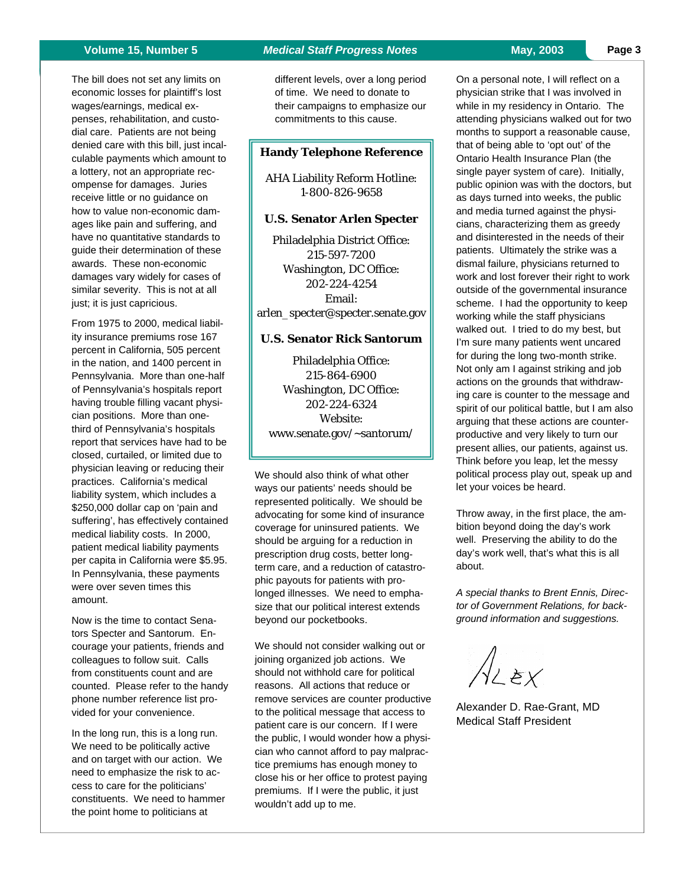#### **Volume 15, Number 5** *Medical Staff Progress Notes* **May, 2003**

### The bill does not set any limits on economic losses for plaintiff's lost wages/earnings, medical expenses, rehabilitation, and custodial care. Patients are not being denied care with this bill, just incalculable payments which amount to a lottery, not an appropriate recompense for damages. Juries receive little or no guidance on how to value non-economic damages like pain and suffering, and have no quantitative standards to guide their determination of these awards. These non-economic damages vary widely for cases of similar severity. This is not at all just; it is just capricious.

From 1975 to 2000, medical liability insurance premiums rose 167 percent in California, 505 percent in the nation, and 1400 percent in Pennsylvania. More than one-half of Pennsylvania's hospitals report having trouble filling vacant physician positions. More than onethird of Pennsylvania's hospitals report that services have had to be closed, curtailed, or limited due to physician leaving or reducing their practices. California's medical liability system, which includes a \$250,000 dollar cap on 'pain and suffering', has effectively contained medical liability costs. In 2000, patient medical liability payments per capita in California were \$5.95. In Pennsylvania, these payments were over seven times this amount.

Now is the time to contact Senators Specter and Santorum. Encourage your patients, friends and colleagues to follow suit. Calls from constituents count and are counted. Please refer to the handy phone number reference list provided for your convenience.

In the long run, this is a long run. We need to be politically active and on target with our action. We need to emphasize the risk to access to care for the politicians' constituents. We need to hammer the point home to politicians at

different levels, over a long period of time. We need to donate to their campaigns to emphasize our commitments to this cause.

### **Handy Telephone Reference**

AHA Liability Reform Hotline: 1-800-826-9658

### **U.S. Senator Arlen Specter**

Philadelphia District Office: 215-597-7200 Washington, DC Office: 202-224-4254 Email: arlen\_specter@specter.senate.gov

### **U.S. Senator Rick Santorum**

Philadelphia Office: 215-864-6900 Washington, DC Office: 202-224-6324 Website: www.senate.gov/~santorum/

We should also think of what other ways our patients' needs should be represented politically. We should be advocating for some kind of insurance coverage for uninsured patients. We should be arguing for a reduction in prescription drug costs, better longterm care, and a reduction of catastrophic payouts for patients with prolonged illnesses. We need to emphasize that our political interest extends beyond our pocketbooks.

We should not consider walking out or joining organized job actions. We should not withhold care for political reasons. All actions that reduce or remove services are counter productive to the political message that access to patient care is our concern. If I were the public, I would wonder how a physician who cannot afford to pay malpractice premiums has enough money to close his or her office to protest paying premiums. If I were the public, it just wouldn't add up to me.

On a personal note, I will reflect on a physician strike that I was involved in while in my residency in Ontario. The attending physicians walked out for two months to support a reasonable cause, that of being able to 'opt out' of the Ontario Health Insurance Plan (the single payer system of care). Initially, public opinion was with the doctors, but as days turned into weeks, the public and media turned against the physicians, characterizing them as greedy and disinterested in the needs of their patients. Ultimately the strike was a dismal failure, physicians returned to work and lost forever their right to work outside of the governmental insurance scheme. I had the opportunity to keep working while the staff physicians walked out. I tried to do my best, but I'm sure many patients went uncared for during the long two-month strike. Not only am I against striking and job actions on the grounds that withdrawing care is counter to the message and spirit of our political battle, but I am also arguing that these actions are counterproductive and very likely to turn our present allies, our patients, against us. Think before you leap, let the messy political process play out, speak up and let your voices be heard.

Throw away, in the first place, the ambition beyond doing the day's work well. Preserving the ability to do the day's work well, that's what this is all about.

*A special thanks to Brent Ennis, Director of Government Relations, for background information and suggestions.*

ALEX

Alexander D. Rae-Grant, MD Medical Staff President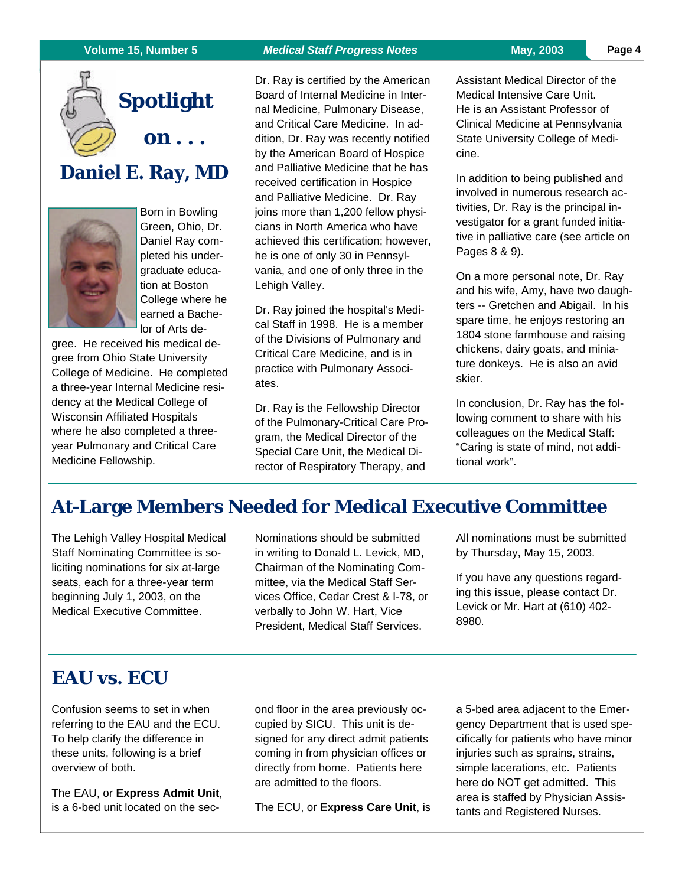

### **Daniel E. Ray, MD**



Born in Bowling Green, Ohio, Dr. Daniel Ray completed his undergraduate education at Boston College where he earned a Bachelor of Arts de-

gree. He received his medical degree from Ohio State University College of Medicine. He completed a three-year Internal Medicine residency at the Medical College of Wisconsin Affiliated Hospitals where he also completed a threeyear Pulmonary and Critical Care Medicine Fellowship.

### **Volume 15, Number 5** *Medical Staff Progress Notes* **May, 2003**

Dr. Ray is certified by the American Board of Internal Medicine in Internal Medicine, Pulmonary Disease, and Critical Care Medicine. In addition, Dr. Ray was recently notified by the American Board of Hospice and Palliative Medicine that he has received certification in Hospice and Palliative Medicine. Dr. Ray joins more than 1,200 fellow physicians in North America who have achieved this certification; however, he is one of only 30 in Pennsylvania, and one of only three in the Lehigh Valley.

Dr. Ray joined the hospital's Medical Staff in 1998. He is a member of the Divisions of Pulmonary and Critical Care Medicine, and is in practice with Pulmonary Associates.

Dr. Ray is the Fellowship Director of the Pulmonary-Critical Care Program, the Medical Director of the Special Care Unit, the Medical Director of Respiratory Therapy, and

Assistant Medical Director of the Medical Intensive Care Unit. He is an Assistant Professor of Clinical Medicine at Pennsylvania State University College of Medicine.

In addition to being published and involved in numerous research activities, Dr. Ray is the principal investigator for a grant funded initiative in palliative care (see article on Pages 8 & 9).

On a more personal note, Dr. Ray and his wife, Amy, have two daughters -- Gretchen and Abigail. In his spare time, he enjoys restoring an 1804 stone farmhouse and raising chickens, dairy goats, and miniature donkeys. He is also an avid skier.

In conclusion, Dr. Ray has the following comment to share with his colleagues on the Medical Staff: "Caring is state of mind, not additional work".

### **At-Large Members Needed for Medical Executive Committee**

The Lehigh Valley Hospital Medical Staff Nominating Committee is soliciting nominations for six at-large seats, each for a three-year term beginning July 1, 2003, on the Medical Executive Committee.

Nominations should be submitted in writing to Donald L. Levick, MD, Chairman of the Nominating Committee, via the Medical Staff Services Office, Cedar Crest & I-78, or verbally to John W. Hart, Vice President, Medical Staff Services.

All nominations must be submitted by Thursday, May 15, 2003.

If you have any questions regarding this issue, please contact Dr. Levick or Mr. Hart at (610) 402- 8980.

### **EAU vs. ECU**

Confusion seems to set in when referring to the EAU and the ECU. To help clarify the difference in these units, following is a brief overview of both.

The EAU, or **Express Admit Unit**, is a 6-bed unit located on the second floor in the area previously occupied by SICU. This unit is designed for any direct admit patients coming in from physician offices or directly from home. Patients here are admitted to the floors.

The ECU, or **Express Care Unit**, is

a 5-bed area adjacent to the Emergency Department that is used specifically for patients who have minor injuries such as sprains, strains, simple lacerations, etc. Patients here do NOT get admitted. This area is staffed by Physician Assistants and Registered Nurses.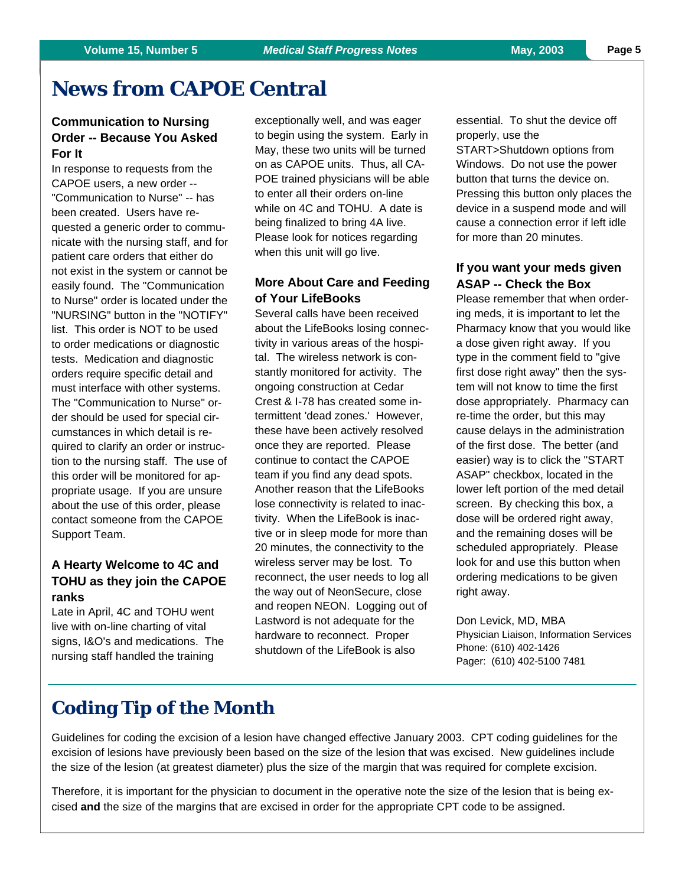### **News from CAPOE Central**

### **Communication to Nursing Order -- Because You Asked For It**

In response to requests from the CAPOE users, a new order -- "Communication to Nurse" -- has been created. Users have requested a generic order to communicate with the nursing staff, and for patient care orders that either do not exist in the system or cannot be easily found. The "Communication to Nurse" order is located under the "NURSING" button in the "NOTIFY" list. This order is NOT to be used to order medications or diagnostic tests. Medication and diagnostic orders require specific detail and must interface with other systems. The "Communication to Nurse" order should be used for special circumstances in which detail is required to clarify an order or instruction to the nursing staff. The use of this order will be monitored for appropriate usage. If you are unsure about the use of this order, please contact someone from the CAPOE Support Team.

### **A Hearty Welcome to 4C and TOHU as they join the CAPOE ranks**

Late in April, 4C and TOHU went live with on-line charting of vital signs, I&O's and medications. The nursing staff handled the training

exceptionally well, and was eager to begin using the system. Early in May, these two units will be turned on as CAPOE units. Thus, all CA-POE trained physicians will be able to enter all their orders on-line while on 4C and TOHU. A date is being finalized to bring 4A live. Please look for notices regarding when this unit will go live.

### **More About Care and Feeding of Your LifeBooks**

Several calls have been received about the LifeBooks losing connectivity in various areas of the hospital. The wireless network is constantly monitored for activity. The ongoing construction at Cedar Crest & I-78 has created some intermittent 'dead zones.' However, these have been actively resolved once they are reported. Please continue to contact the CAPOE team if you find any dead spots. Another reason that the LifeBooks lose connectivity is related to inactivity. When the LifeBook is inactive or in sleep mode for more than 20 minutes, the connectivity to the wireless server may be lost. To reconnect, the user needs to log all the way out of NeonSecure, close and reopen NEON. Logging out of Lastword is not adequate for the hardware to reconnect. Proper shutdown of the LifeBook is also

essential. To shut the device off properly, use the START>Shutdown options from

Windows. Do not use the power button that turns the device on. Pressing this button only places the device in a suspend mode and will cause a connection error if left idle for more than 20 minutes.

### **If you want your meds given ASAP -- Check the Box**

Please remember that when ordering meds, it is important to let the Pharmacy know that you would like a dose given right away. If you type in the comment field to "give first dose right away" then the system will not know to time the first dose appropriately. Pharmacy can re-time the order, but this may cause delays in the administration of the first dose. The better (and easier) way is to click the "START ASAP" checkbox, located in the lower left portion of the med detail screen. By checking this box, a dose will be ordered right away, and the remaining doses will be scheduled appropriately. Please look for and use this button when ordering medications to be given right away.

Don Levick, MD, MBA Physician Liaison, Information Services Phone: (610) 402-1426 Pager: (610) 402-5100 7481

### **Coding Tip of the Month**

Guidelines for coding the excision of a lesion have changed effective January 2003. CPT coding guidelines for the excision of lesions have previously been based on the size of the lesion that was excised. New guidelines include the size of the lesion (at greatest diameter) plus the size of the margin that was required for complete excision.

Therefore, it is important for the physician to document in the operative note the size of the lesion that is being excised **and** the size of the margins that are excised in order for the appropriate CPT code to be assigned.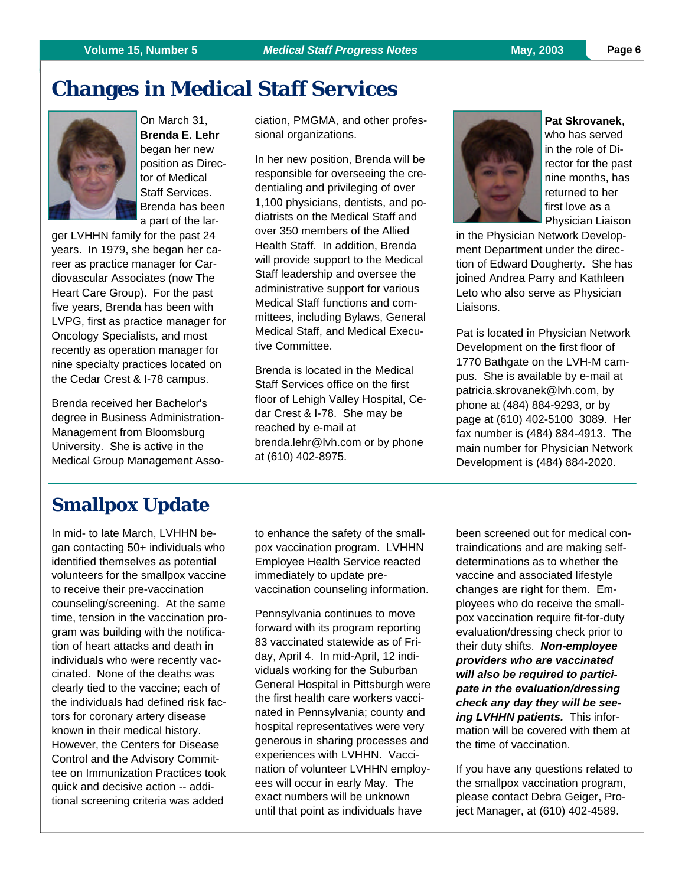# **Changes in Medical Staff Services**



On March 31, **Brenda E. Lehr**  began her new position as Director of Medical Staff Services. Brenda has been a part of the lar-

ger LVHHN family for the past 24 years. In 1979, she began her career as practice manager for Cardiovascular Associates (now The Heart Care Group). For the past five years, Brenda has been with LVPG, first as practice manager for Oncology Specialists, and most recently as operation manager for nine specialty practices located on the Cedar Crest & I-78 campus.

Brenda received her Bachelor's degree in Business Administration-Management from Bloomsburg University. She is active in the Medical Group Management Association, PMGMA, and other professional organizations.

In her new position, Brenda will be responsible for overseeing the credentialing and privileging of over 1,100 physicians, dentists, and podiatrists on the Medical Staff and over 350 members of the Allied Health Staff. In addition, Brenda will provide support to the Medical Staff leadership and oversee the administrative support for various Medical Staff functions and committees, including Bylaws, General Medical Staff, and Medical Executive Committee.

Brenda is located in the Medical Staff Services office on the first floor of Lehigh Valley Hospital, Cedar Crest & I-78. She may be reached by e-mail at brenda.lehr@lvh.com or by phone at (610) 402-8975.



**Pat Skrovanek**, who has served in the role of Director for the past nine months, has returned to her first love as a Physician Liaison

in the Physician Network Development Department under the direction of Edward Dougherty. She has joined Andrea Parry and Kathleen Leto who also serve as Physician Liaisons.

Pat is located in Physician Network Development on the first floor of 1770 Bathgate on the LVH-M campus. She is available by e-mail at patricia.skrovanek@lvh.com, by phone at (484) 884-9293, or by page at (610) 402-5100 3089. Her fax number is (484) 884-4913. The main number for Physician Network Development is (484) 884-2020.

### **Smallpox Update**

In mid- to late March, LVHHN began contacting 50+ individuals who identified themselves as potential volunteers for the smallpox vaccine to receive their pre-vaccination counseling/screening. At the same time, tension in the vaccination program was building with the notification of heart attacks and death in individuals who were recently vaccinated. None of the deaths was clearly tied to the vaccine; each of the individuals had defined risk factors for coronary artery disease known in their medical history. However, the Centers for Disease Control and the Advisory Committee on Immunization Practices took quick and decisive action -- additional screening criteria was added

to enhance the safety of the smallpox vaccination program. LVHHN Employee Health Service reacted immediately to update prevaccination counseling information.

Pennsylvania continues to move forward with its program reporting 83 vaccinated statewide as of Friday, April 4. In mid-April, 12 individuals working for the Suburban General Hospital in Pittsburgh were the first health care workers vaccinated in Pennsylvania; county and hospital representatives were very generous in sharing processes and experiences with LVHHN. Vaccination of volunteer LVHHN employees will occur in early May. The exact numbers will be unknown until that point as individuals have

been screened out for medical contraindications and are making selfdeterminations as to whether the vaccine and associated lifestyle changes are right for them. Employees who do receive the smallpox vaccination require fit-for-duty evaluation/dressing check prior to their duty shifts. *Non-employee providers who are vaccinated will also be required to participate in the evaluation/dressing check any day they will be seeing LVHHN patients.* This information will be covered with them at the time of vaccination.

If you have any questions related to the smallpox vaccination program, please contact Debra Geiger, Project Manager, at (610) 402-4589.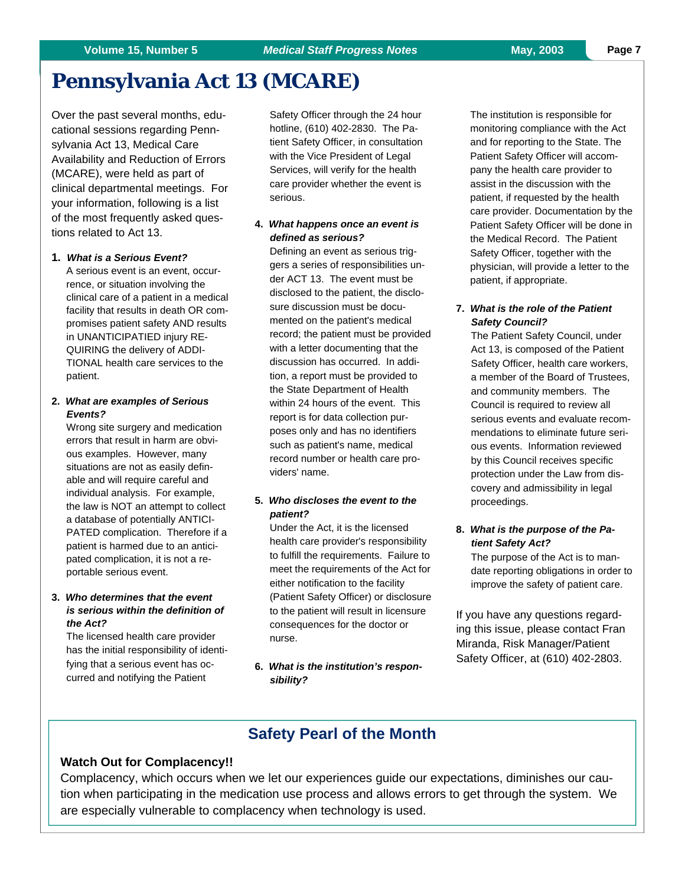# **Pennsylvania Act 13 (MCARE)**

Over the past several months, educational sessions regarding Pennsylvania Act 13, Medical Care Availability and Reduction of Errors (MCARE), were held as part of clinical departmental meetings. For your information, following is a list of the most frequently asked questions related to Act 13.

### **1.** *What is a Serious Event?*

A serious event is an event, occurrence, or situation involving the clinical care of a patient in a medical facility that results in death OR compromises patient safety AND results in UNANTICIPATIED injury RE-QUIRING the delivery of ADDI-TIONAL health care services to the patient.

#### **2.** *What are examples of Serious Events?*

Wrong site surgery and medication errors that result in harm are obvious examples. However, many situations are not as easily definable and will require careful and individual analysis. For example, the law is NOT an attempt to collect a database of potentially ANTICI-PATED complication. Therefore if a patient is harmed due to an anticipated complication, it is not a reportable serious event.

### **3.** *Who determines that the event is serious within the definition of the Act?*

The licensed health care provider has the initial responsibility of identifying that a serious event has occurred and notifying the Patient

Safety Officer through the 24 hour hotline, (610) 402-2830. The Patient Safety Officer, in consultation with the Vice President of Legal Services, will verify for the health care provider whether the event is serious.

### **4.** *What happens once an event is defined as serious?*

Defining an event as serious triggers a series of responsibilities under ACT 13. The event must be disclosed to the patient, the disclosure discussion must be documented on the patient's medical record; the patient must be provided with a letter documenting that the discussion has occurred. In addition, a report must be provided to the State Department of Health within 24 hours of the event. This report is for data collection purposes only and has no identifiers such as patient's name, medical record number or health care providers' name.

### **5.** *Who discloses the event to the patient?*

Under the Act, it is the licensed health care provider's responsibility to fulfill the requirements. Failure to meet the requirements of the Act for either notification to the facility (Patient Safety Officer) or disclosure to the patient will result in licensure consequences for the doctor or nurse.

**6.** *What is the institution's responsibility?*

The institution is responsible for monitoring compliance with the Act and for reporting to the State. The Patient Safety Officer will accompany the health care provider to assist in the discussion with the patient, if requested by the health care provider. Documentation by the Patient Safety Officer will be done in the Medical Record. The Patient Safety Officer, together with the physician, will provide a letter to the patient, if appropriate.

### **7.** *What is the role of the Patient Safety Council?*

The Patient Safety Council, under Act 13, is composed of the Patient Safety Officer, health care workers, a member of the Board of Trustees, and community members. The Council is required to review all serious events and evaluate recommendations to eliminate future serious events. Information reviewed by this Council receives specific protection under the Law from discovery and admissibility in legal proceedings.

### **8.** *What is the purpose of the Patient Safety Act?*

The purpose of the Act is to mandate reporting obligations in order to improve the safety of patient care.

If you have any questions regarding this issue, please contact Fran Miranda, Risk Manager/Patient Safety Officer, at (610) 402-2803.

### **Safety Pearl of the Month**

### **Watch Out for Complacency!!**

Complacency, which occurs when we let our experiences guide our expectations, diminishes our caution when participating in the medication use process and allows errors to get through the system. We are especially vulnerable to complacency when technology is used.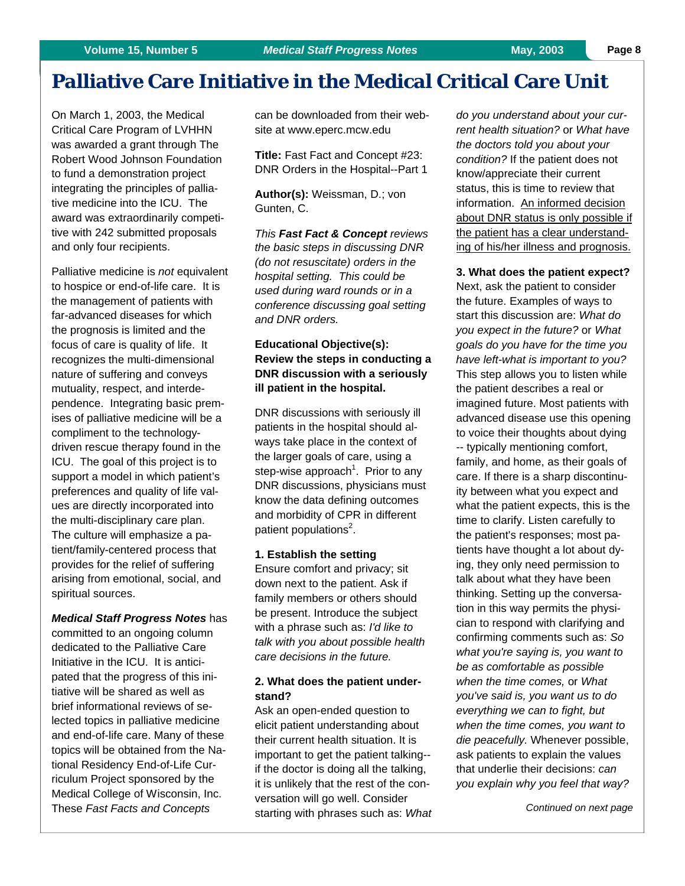# **Palliative Care Initiative in the Medical Critical Care Unit**

On March 1, 2003, the Medical Critical Care Program of LVHHN was awarded a grant through The Robert Wood Johnson Foundation to fund a demonstration project integrating the principles of palliative medicine into the ICU. The award was extraordinarily competitive with 242 submitted proposals and only four recipients.

Palliative medicine is *not* equivalent to hospice or end-of-life care. It is the management of patients with far-advanced diseases for which the prognosis is limited and the focus of care is quality of life. It recognizes the multi-dimensional nature of suffering and conveys mutuality, respect, and interdependence. Integrating basic premises of palliative medicine will be a compliment to the technologydriven rescue therapy found in the ICU. The goal of this project is to support a model in which patient's preferences and quality of life values are directly incorporated into the multi-disciplinary care plan. The culture will emphasize a patient/family-centered process that provides for the relief of suffering arising from emotional, social, and spiritual sources.

#### *Medical Staff Progress Notes* has

committed to an ongoing column dedicated to the Palliative Care Initiative in the ICU. It is anticipated that the progress of this initiative will be shared as well as brief informational reviews of selected topics in palliative medicine and end-of-life care. Many of these topics will be obtained from the National Residency End-of-Life Curriculum Project sponsored by the Medical College of Wisconsin, Inc. These *Fast Facts and Concepts*

can be downloaded from their website at www.eperc.mcw.edu

**Title:** Fast Fact and Concept #23: DNR Orders in the Hospital--Part 1

**Author(s):** Weissman, D.; von Gunten, C.

*This Fast Fact & Concept reviews the basic steps in discussing DNR (do not resuscitate) orders in the hospital setting. This could be used during ward rounds or in a conference discussing goal setting and DNR orders.* 

### **Educational Objective(s): Review the steps in conducting a DNR discussion with a seriously ill patient in the hospital.**

DNR discussions with seriously ill patients in the hospital should always take place in the context of the larger goals of care, using a step-wise approach<sup>1</sup>. Prior to any DNR discussions, physicians must know the data defining outcomes and morbidity of CPR in different patient populations<sup>2</sup>.

#### **1. Establish the setting**

Ensure comfort and privacy; sit down next to the patient. Ask if family members or others should be present. Introduce the subject with a phrase such as: *I'd like to talk with you about possible health care decisions in the future.*

### **2. What does the patient understand?**

Ask an open-ended question to elicit patient understanding about their current health situation. It is important to get the patient talking- if the doctor is doing all the talking, it is unlikely that the rest of the conversation will go well. Consider starting with phrases such as: *What* 

*do you understand about your current health situation?* or *What have the doctors told you about your condition?* If the patient does not know/appreciate their current status, this is time to review that information. An informed decision about DNR status is only possible if the patient has a clear understanding of his/her illness and prognosis.

**3. What does the patient expect?**

Next, ask the patient to consider the future. Examples of ways to start this discussion are: *What do you expect in the future?* or *What goals do you have for the time you have left-what is important to you?* This step allows you to listen while the patient describes a real or imagined future. Most patients with advanced disease use this opening to voice their thoughts about dying -- typically mentioning comfort, family, and home, as their goals of care. If there is a sharp discontinuity between what you expect and what the patient expects, this is the time to clarify. Listen carefully to the patient's responses; most patients have thought a lot about dying, they only need permission to talk about what they have been thinking. Setting up the conversation in this way permits the physician to respond with clarifying and confirming comments such as: *So what you're saying is, you want to be as comfortable as possible when the time comes,* or *What you've said is, you want us to do everything we can to fight, but when the time comes, you want to die peacefully.* Whenever possible, ask patients to explain the values that underlie their decisions: *can you explain why you feel that way?*

*Continued on next page*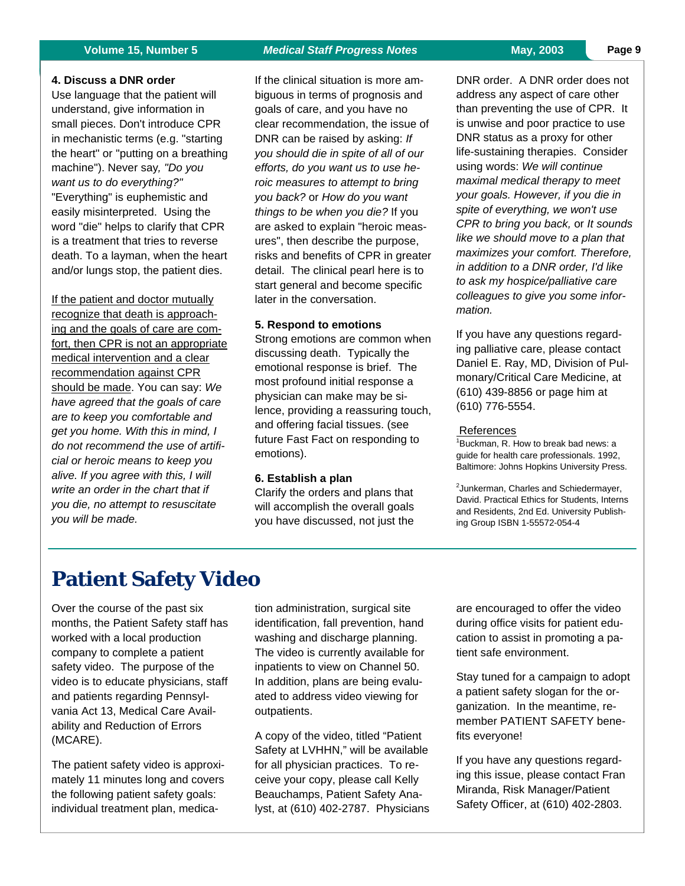### **Volume 15, Number 5** *Medical Staff Progress Notes* **May, 2003**

### **4. Discuss a DNR order**

Use language that the patient will understand, give information in small pieces. Don't introduce CPR in mechanistic terms (e.g. "starting the heart" or "putting on a breathing machine"). Never say*, "Do you want us to do everything?"* "Everything" is euphemistic and easily misinterpreted. Using the word "die" helps to clarify that CPR is a treatment that tries to reverse death. To a layman, when the heart and/or lungs stop, the patient dies.

If the patient and doctor mutually recognize that death is approaching and the goals of care are comfort, then CPR is not an appropriate medical intervention and a clear recommendation against CPR should be made. You can say: *We have agreed that the goals of care are to keep you comfortable and get you home. With this in mind, I do not recommend the use of artificial or heroic means to keep you alive. If you agree with this, I will write an order in the chart that if you die, no attempt to resuscitate you will be made.*

If the clinical situation is more ambiguous in terms of prognosis and goals of care, and you have no clear recommendation, the issue of DNR can be raised by asking: *If you should die in spite of all of our efforts, do you want us to use heroic measures to attempt to bring you back?* or *How do you want things to be when you die?* If you are asked to explain "heroic measures", then describe the purpose, risks and benefits of CPR in greater detail. The clinical pearl here is to start general and become specific later in the conversation.

#### **5. Respond to emotions**

Strong emotions are common when discussing death. Typically the emotional response is brief. The most profound initial response a physician can make may be silence, providing a reassuring touch, and offering facial tissues. (see future Fast Fact on responding to emotions).

### **6. Establish a plan**

Clarify the orders and plans that will accomplish the overall goals you have discussed, not just the

DNR order. A DNR order does not address any aspect of care other than preventing the use of CPR. It is unwise and poor practice to use DNR status as a proxy for other life-sustaining therapies. Consider using words: *We will continue maximal medical therapy to meet your goals. However, if you die in spite of everything, we won't use CPR to bring you back,* or *It sounds like we should move to a plan that maximizes your comfort. Therefore, in addition to a DNR order, I'd like to ask my hospice/palliative care colleagues to give you some information.*

If you have any questions regarding palliative care, please contact Daniel E. Ray, MD, Division of Pulmonary/Critical Care Medicine, at (610) 439-8856 or page him at (610) 776-5554.

#### References

<sup>1</sup>Buckman, R. How to break bad news: a guide for health care professionals. 1992, Baltimore: Johns Hopkins University Press.

<sup>2</sup> Junkerman, Charles and Schiedermayer, David. Practical Ethics for Students, Interns and Residents, 2nd Ed. University Publishing Group ISBN 1-55572-054-4

### **Patient Safety Video**

Over the course of the past six months, the Patient Safety staff has worked with a local production company to complete a patient safety video. The purpose of the video is to educate physicians, staff and patients regarding Pennsylvania Act 13, Medical Care Availability and Reduction of Errors (MCARE).

The patient safety video is approximately 11 minutes long and covers the following patient safety goals: individual treatment plan, medication administration, surgical site identification, fall prevention, hand washing and discharge planning. The video is currently available for inpatients to view on Channel 50. In addition, plans are being evaluated to address video viewing for outpatients.

A copy of the video, titled "Patient Safety at LVHHN," will be available for all physician practices. To receive your copy, please call Kelly Beauchamps, Patient Safety Analyst, at (610) 402-2787. Physicians are encouraged to offer the video during office visits for patient education to assist in promoting a patient safe environment.

Stay tuned for a campaign to adopt a patient safety slogan for the organization. In the meantime, remember PATIENT SAFETY benefits everyone!

If you have any questions regarding this issue, please contact Fran Miranda, Risk Manager/Patient Safety Officer, at (610) 402-2803.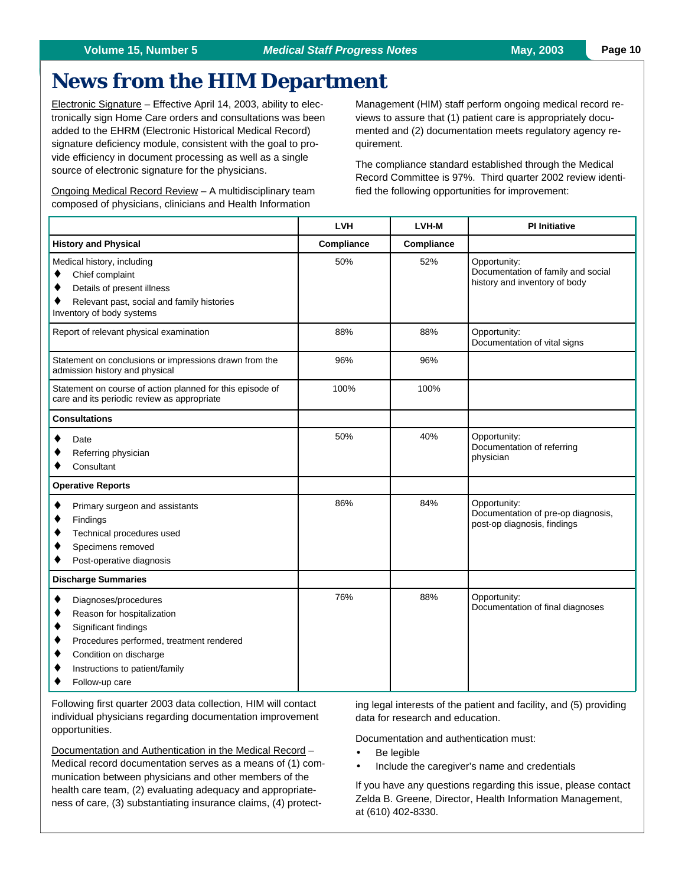#### **Page 10**

### **News from the HIM Department**

Electronic Signature – Effective April 14, 2003, ability to electronically sign Home Care orders and consultations was been added to the EHRM (Electronic Historical Medical Record) signature deficiency module, consistent with the goal to provide efficiency in document processing as well as a single source of electronic signature for the physicians.

Ongoing Medical Record Review – A multidisciplinary team composed of physicians, clinicians and Health Information

Management (HIM) staff perform ongoing medical record reviews to assure that (1) patient care is appropriately documented and (2) documentation meets regulatory agency requirement.

The compliance standard established through the Medical Record Committee is 97%. Third quarter 2002 review identified the following opportunities for improvement:

|                                                                                                                                                                                                                                    | <b>LVH</b> | LVH-M      | <b>PI Initiative</b>                                                                |
|------------------------------------------------------------------------------------------------------------------------------------------------------------------------------------------------------------------------------------|------------|------------|-------------------------------------------------------------------------------------|
| <b>History and Physical</b>                                                                                                                                                                                                        | Compliance | Compliance |                                                                                     |
| Medical history, including<br>Chief complaint<br>Details of present illness<br>Relevant past, social and family histories<br>Inventory of body systems                                                                             | 50%        | 52%        | Opportunity:<br>Documentation of family and social<br>history and inventory of body |
| Report of relevant physical examination                                                                                                                                                                                            | 88%        | 88%        | Opportunity:<br>Documentation of vital signs                                        |
| Statement on conclusions or impressions drawn from the<br>admission history and physical                                                                                                                                           | 96%        | 96%        |                                                                                     |
| Statement on course of action planned for this episode of<br>care and its periodic review as appropriate                                                                                                                           | 100%       | 100%       |                                                                                     |
| <b>Consultations</b>                                                                                                                                                                                                               |            |            |                                                                                     |
| Date<br>٠<br>Referring physician<br>Consultant                                                                                                                                                                                     | 50%        | 40%        | Opportunity:<br>Documentation of referring<br>physician                             |
| <b>Operative Reports</b>                                                                                                                                                                                                           |            |            |                                                                                     |
| Primary surgeon and assistants<br>٠<br>Findings<br>٠<br>Technical procedures used<br>٠<br>Specimens removed<br>Post-operative diagnosis                                                                                            | 86%        | 84%        | Opportunity:<br>Documentation of pre-op diagnosis,<br>post-op diagnosis, findings   |
| <b>Discharge Summaries</b>                                                                                                                                                                                                         |            |            |                                                                                     |
| Diagnoses/procedures<br>٠<br>Reason for hospitalization<br>٠<br>Significant findings<br>٠<br>Procedures performed, treatment rendered<br>٠<br>Condition on discharge<br>٠<br>Instructions to patient/family<br>٠<br>Follow-up care | 76%        | 88%        | Opportunity:<br>Documentation of final diagnoses                                    |

Following first quarter 2003 data collection, HIM will contact individual physicians regarding documentation improvement opportunities.

Documentation and Authentication in the Medical Record – Medical record documentation serves as a means of (1) communication between physicians and other members of the health care team, (2) evaluating adequacy and appropriateness of care, (3) substantiating insurance claims, (4) protecting legal interests of the patient and facility, and (5) providing data for research and education.

Documentation and authentication must:

- Be legible
- Include the caregiver's name and credentials

If you have any questions regarding this issue, please contact Zelda B. Greene, Director, Health Information Management, at (610) 402-8330.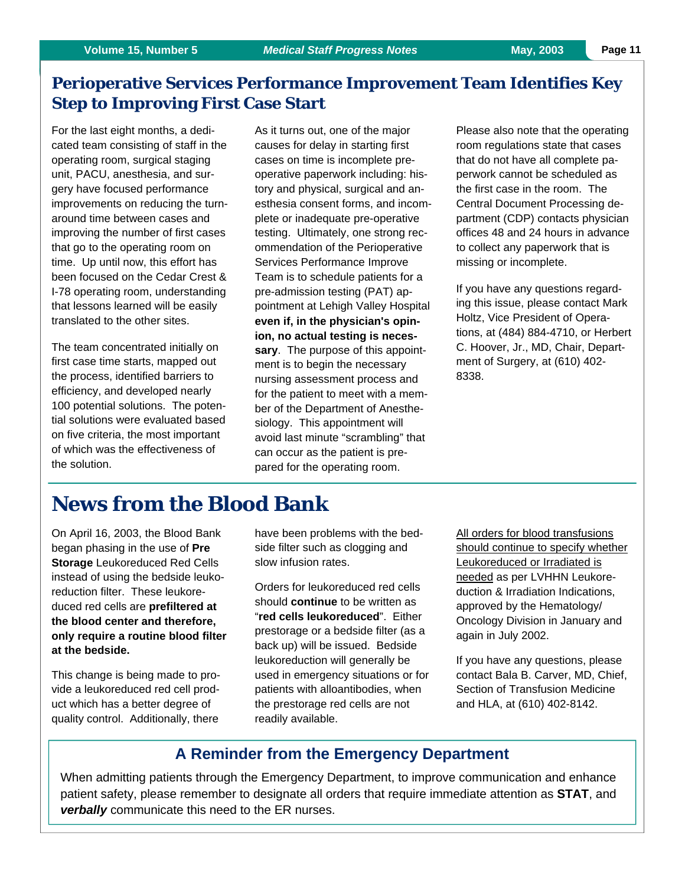### **Perioperative Services Performance Improvement Team Identifies Key Step to Improving First Case Start**

For the last eight months, a dedicated team consisting of staff in the operating room, surgical staging unit, PACU, anesthesia, and surgery have focused performance improvements on reducing the turnaround time between cases and improving the number of first cases that go to the operating room on time. Up until now, this effort has been focused on the Cedar Crest & I-78 operating room, understanding that lessons learned will be easily translated to the other sites.

The team concentrated initially on first case time starts, mapped out the process, identified barriers to efficiency, and developed nearly 100 potential solutions. The potential solutions were evaluated based on five criteria, the most important of which was the effectiveness of the solution.

As it turns out, one of the major causes for delay in starting first cases on time is incomplete preoperative paperwork including: history and physical, surgical and anesthesia consent forms, and incomplete or inadequate pre-operative testing. Ultimately, one strong recommendation of the Perioperative Services Performance Improve Team is to schedule patients for a pre-admission testing (PAT) appointment at Lehigh Valley Hospital **even if, in the physician's opinion, no actual testing is necessary**. The purpose of this appointment is to begin the necessary nursing assessment process and for the patient to meet with a member of the Department of Anesthesiology. This appointment will avoid last minute "scrambling" that can occur as the patient is prepared for the operating room.

Please also note that the operating room regulations state that cases that do not have all complete paperwork cannot be scheduled as the first case in the room. The Central Document Processing department (CDP) contacts physician offices 48 and 24 hours in advance to collect any paperwork that is missing or incomplete.

If you have any questions regarding this issue, please contact Mark Holtz, Vice President of Operations, at (484) 884-4710, or Herbert C. Hoover, Jr., MD, Chair, Department of Surgery, at (610) 402- 8338.

### **News from the Blood Bank**

On April 16, 2003, the Blood Bank began phasing in the use of **Pre Storage** Leukoreduced Red Cells instead of using the bedside leukoreduction filter. These leukoreduced red cells are **prefiltered at the blood center and therefore, only require a routine blood filter at the bedside.**

This change is being made to provide a leukoreduced red cell product which has a better degree of quality control. Additionally, there

have been problems with the bedside filter such as clogging and slow infusion rates.

Orders for leukoreduced red cells should **continue** to be written as "**red cells leukoreduced**". Either prestorage or a bedside filter (as a back up) will be issued. Bedside leukoreduction will generally be used in emergency situations or for patients with alloantibodies, when the prestorage red cells are not readily available.

All orders for blood transfusions should continue to specify whether Leukoreduced or Irradiated is needed as per LVHHN Leukoreduction & Irradiation Indications, approved by the Hematology/ Oncology Division in January and again in July 2002.

If you have any questions, please contact Bala B. Carver, MD, Chief, Section of Transfusion Medicine and HLA, at (610) 402-8142.

### **A Reminder from the Emergency Department**

When admitting patients through the Emergency Department, to improve communication and enhance patient safety, please remember to designate all orders that require immediate attention as **STAT**, and *verbally* communicate this need to the ER nurses.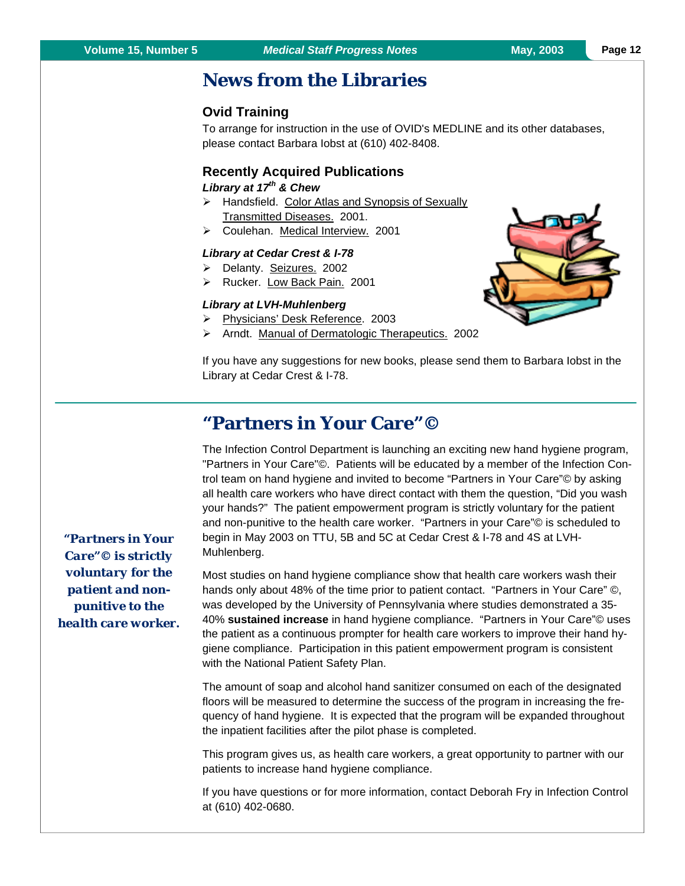### **News from the Libraries**

### **Ovid Training**

To arrange for instruction in the use of OVID's MEDLINE and its other databases, please contact Barbara Iobst at (610) 402-8408.

### **Recently Acquired Publications**

*Library at 17th & Chew*

- > Handsfield. Color Atlas and Synopsis of Sexually Transmitted Diseases. 2001.
- ▶ Coulehan. Medical Interview. 2001

### *Library at Cedar Crest & I-78*

- ÿ Delanty. Seizures. 2002
- ▶ Rucker. Low Back Pain. 2001

#### *Library at LVH-Muhlenberg*

- ÿ Physicians' Desk Reference. 2003
- ÿ Arndt. Manual of Dermatologic Therapeutics. 2002

If you have any suggestions for new books, please send them to Barbara Iobst in the Library at Cedar Crest & I-78.

### **"Partners in Your Care"©**

The Infection Control Department is launching an exciting new hand hygiene program, "Partners in Your Care"©. Patients will be educated by a member of the Infection Control team on hand hygiene and invited to become "Partners in Your Care"© by asking all health care workers who have direct contact with them the question, "Did you wash your hands?" The patient empowerment program is strictly voluntary for the patient and non-punitive to the health care worker. "Partners in your Care"© is scheduled to begin in May 2003 on TTU, 5B and 5C at Cedar Crest & I-78 and 4S at LVH-Muhlenberg.

Most studies on hand hygiene compliance show that health care workers wash their hands only about 48% of the time prior to patient contact. "Partners in Your Care"  $\textcircled{\tiny{\textregistered}}$ , was developed by the University of Pennsylvania where studies demonstrated a 35- 40% **sustained increase** in hand hygiene compliance. "Partners in Your Care"© uses the patient as a continuous prompter for health care workers to improve their hand hygiene compliance. Participation in this patient empowerment program is consistent with the National Patient Safety Plan.

The amount of soap and alcohol hand sanitizer consumed on each of the designated floors will be measured to determine the success of the program in increasing the frequency of hand hygiene. It is expected that the program will be expanded throughout the inpatient facilities after the pilot phase is completed.

This program gives us, as health care workers, a great opportunity to partner with our patients to increase hand hygiene compliance.

If you have questions or for more information, contact Deborah Fry in Infection Control at (610) 402-0680.

*"Partners in Your Care"© is strictly voluntary for the patient and nonpunitive to the health care worker.*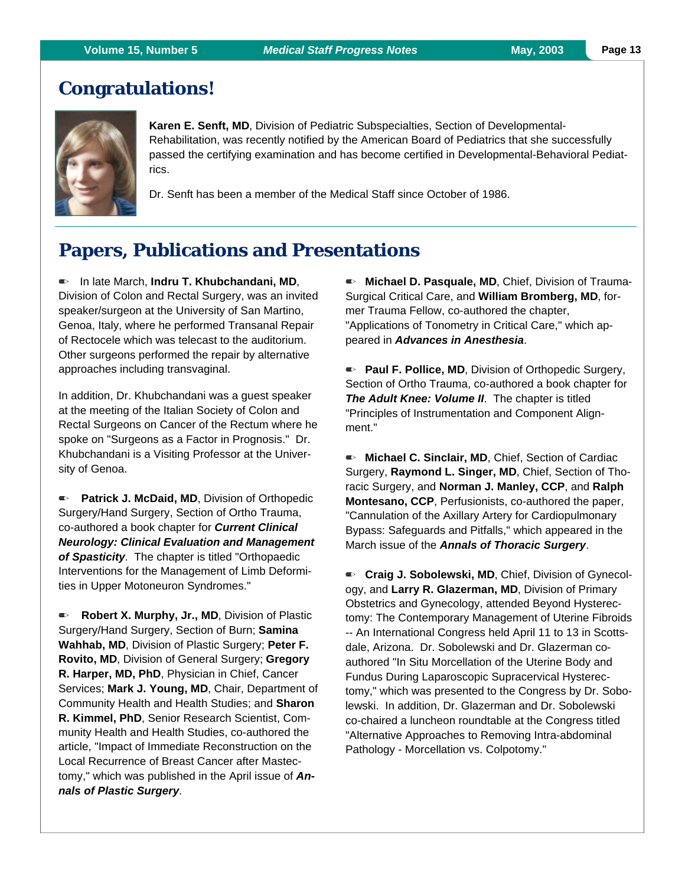#### **Page 13**

### **Congratulations!**



**Karen E. Senft, MD**, Division of Pediatric Subspecialties, Section of Developmental-Rehabilitation, was recently notified by the American Board of Pediatrics that she successfully passed the certifying examination and has become certified in Developmental-Behavioral Pediatrics.

Dr. Senft has been a member of the Medical Staff since October of 1986.

### **Papers, Publications and Presentations**

/ In late March, **Indru T. Khubchandani, MD**, Division of Colon and Rectal Surgery, was an invited speaker/surgeon at the University of San Martino, Genoa, Italy, where he performed Transanal Repair of Rectocele which was telecast to the auditorium. Other surgeons performed the repair by alternative approaches including transvaginal.

In addition, Dr. Khubchandani was a guest speaker at the meeting of the Italian Society of Colon and Rectal Surgeons on Cancer of the Rectum where he spoke on "Surgeons as a Factor in Prognosis." Dr. Khubchandani is a Visiting Professor at the University of Genoa.

/ **Patrick J. McDaid, MD**, Division of Orthopedic Surgery/Hand Surgery, Section of Ortho Trauma, co-authored a book chapter for *Current Clinical Neurology: Clinical Evaluation and Management of Spasticity*. The chapter is titled "Orthopaedic Interventions for the Management of Limb Deformities in Upper Motoneuron Syndromes."

/ **Robert X. Murphy, Jr., MD**, Division of Plastic Surgery/Hand Surgery, Section of Burn; **Samina Wahhab, MD**, Division of Plastic Surgery; **Peter F. Rovito, MD**, Division of General Surgery; **Gregory R. Harper, MD, PhD**, Physician in Chief, Cancer Services; **Mark J. Young, MD**, Chair, Department of Community Health and Health Studies; and **Sharon R. Kimmel, PhD**, Senior Research Scientist, Community Health and Health Studies, co-authored the article, "Impact of Immediate Reconstruction on the Local Recurrence of Breast Cancer after Mastectomy," which was published in the April issue of *Annals of Plastic Surgery*.

/ **Michael D. Pasquale, MD**, Chief, Division of Trauma-Surgical Critical Care, and **William Bromberg, MD**, former Trauma Fellow, co-authored the chapter, "Applications of Tonometry in Critical Care," which appeared in *Advances in Anesthesia*.

/ **Paul F. Pollice, MD**, Division of Orthopedic Surgery, Section of Ortho Trauma, co-authored a book chapter for *The Adult Knee: Volume II*. The chapter is titled "Principles of Instrumentation and Component Alignment."

/ **Michael C. Sinclair, MD**, Chief, Section of Cardiac Surgery, **Raymond L. Singer, MD**, Chief, Section of Thoracic Surgery, and **Norman J. Manley, CCP**, and **Ralph Montesano, CCP**, Perfusionists, co-authored the paper, "Cannulation of the Axillary Artery for Cardiopulmonary Bypass: Safeguards and Pitfalls," which appeared in the March issue of the *Annals of Thoracic Surgery*.

/ **Craig J. Sobolewski, MD**, Chief, Division of Gynecology, and **Larry R. Glazerman, MD**, Division of Primary Obstetrics and Gynecology, attended Beyond Hysterectomy: The Contemporary Management of Uterine Fibroids -- An International Congress held April 11 to 13 in Scottsdale, Arizona. Dr. Sobolewski and Dr. Glazerman coauthored "In Situ Morcellation of the Uterine Body and Fundus During Laparoscopic Supracervical Hysterectomy," which was presented to the Congress by Dr. Sobolewski. In addition, Dr. Glazerman and Dr. Sobolewski co-chaired a luncheon roundtable at the Congress titled "Alternative Approaches to Removing Intra-abdominal Pathology - Morcellation vs. Colpotomy."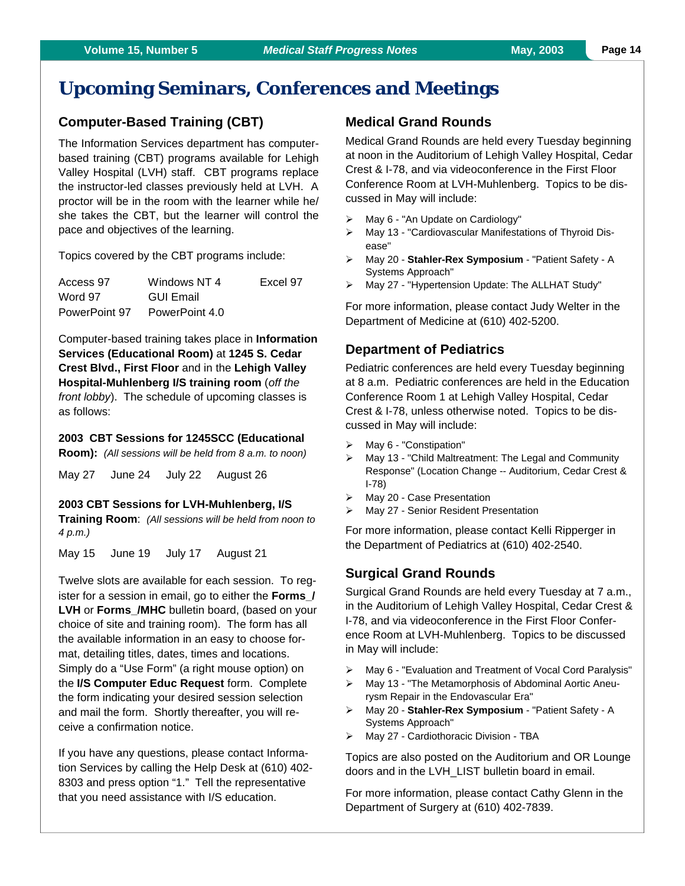### **Upcoming Seminars, Conferences and Meetings**

### **Computer-Based Training (CBT)**

The Information Services department has computerbased training (CBT) programs available for Lehigh Valley Hospital (LVH) staff. CBT programs replace the instructor-led classes previously held at LVH. A proctor will be in the room with the learner while he/ she takes the CBT, but the learner will control the pace and objectives of the learning.

Topics covered by the CBT programs include:

| Access 97     | Windows NT 4     | Excel 97 |
|---------------|------------------|----------|
| Word 97       | <b>GUI Email</b> |          |
| PowerPoint 97 | PowerPoint 4.0   |          |

Computer-based training takes place in **Information Services (Educational Room)** at **1245 S. Cedar Crest Blvd., First Floor** and in the **Lehigh Valley Hospital-Muhlenberg I/S training room** (*off the front lobby*). The schedule of upcoming classes is as follows:

### **2003 CBT Sessions for 1245SCC (Educational**

**Room):** *(All sessions will be held from 8 a.m. to noon)*

May 27 June 24 July 22 August 26

### **2003 CBT Sessions for LVH-Muhlenberg, I/S**

**Training Room**: *(All sessions will be held from noon to 4 p.m.)*

May 15 June 19 July 17 August 21

Twelve slots are available for each session. To register for a session in email, go to either the **Forms\_/ LVH** or **Forms\_/MHC** bulletin board, (based on your choice of site and training room). The form has all the available information in an easy to choose format, detailing titles, dates, times and locations. Simply do a "Use Form" (a right mouse option) on the **I/S Computer Educ Request** form. Complete the form indicating your desired session selection and mail the form. Shortly thereafter, you will receive a confirmation notice.

If you have any questions, please contact Information Services by calling the Help Desk at (610) 402- 8303 and press option "1." Tell the representative that you need assistance with I/S education.

### **Medical Grand Rounds**

Medical Grand Rounds are held every Tuesday beginning at noon in the Auditorium of Lehigh Valley Hospital, Cedar Crest & I-78, and via videoconference in the First Floor Conference Room at LVH-Muhlenberg. Topics to be discussed in May will include:

- $\triangleright$  May 6 "An Update on Cardiology"
- ÿ May 13 "Cardiovascular Manifestations of Thyroid Disease"
- ÿ May 20 **Stahler-Rex Symposium** "Patient Safety A Systems Approach"
- ÿ May 27 "Hypertension Update: The ALLHAT Study"

For more information, please contact Judy Welter in the Department of Medicine at (610) 402-5200.

### **Department of Pediatrics**

Pediatric conferences are held every Tuesday beginning at 8 a.m. Pediatric conferences are held in the Education Conference Room 1 at Lehigh Valley Hospital, Cedar Crest & I-78, unless otherwise noted. Topics to be discussed in May will include:

- $\triangleright$  May 6 "Constipation"
- $\triangleright$  May 13 "Child Maltreatment: The Legal and Community Response" (Location Change -- Auditorium, Cedar Crest & I-78)
- May 20 Case Presentation
- May 27 Senior Resident Presentation

For more information, please contact Kelli Ripperger in the Department of Pediatrics at (610) 402-2540.

### **Surgical Grand Rounds**

Surgical Grand Rounds are held every Tuesday at 7 a.m., in the Auditorium of Lehigh Valley Hospital, Cedar Crest & I-78, and via videoconference in the First Floor Conference Room at LVH-Muhlenberg. Topics to be discussed in May will include:

- $\triangleright$  May 6 "Evaluation and Treatment of Vocal Cord Paralysis"
- May 13 "The Metamorphosis of Abdominal Aortic Aneurysm Repair in the Endovascular Era"
- > May 20 Stahler-Rex Symposium "Patient Safety A Systems Approach"
- > May 27 Cardiothoracic Division TBA

Topics are also posted on the Auditorium and OR Lounge doors and in the LVH\_LIST bulletin board in email.

For more information, please contact Cathy Glenn in the Department of Surgery at (610) 402-7839.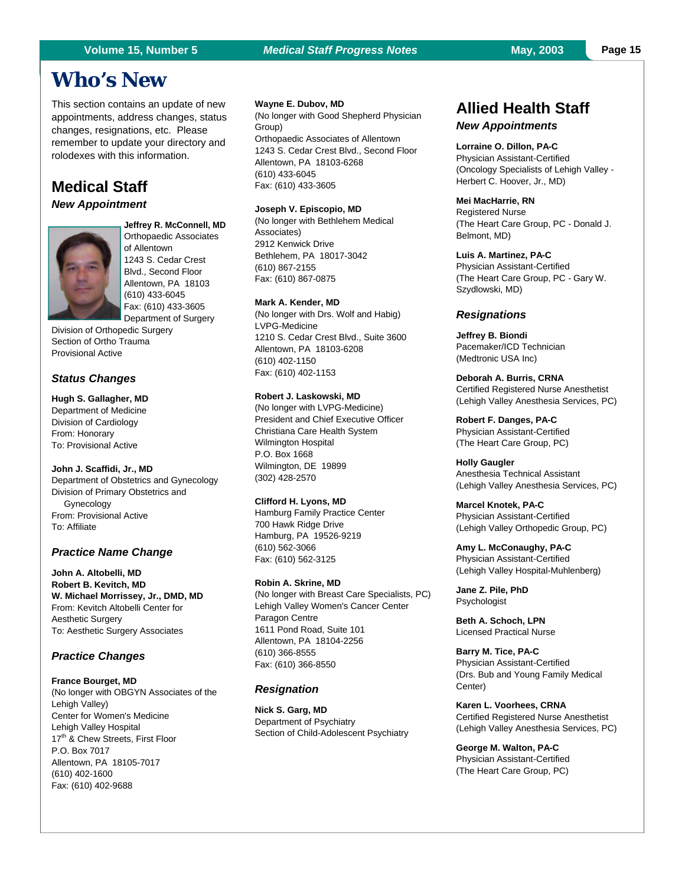### **Who's New**

This section contains an update of new appointments, address changes, status changes, resignations, etc. Please remember to update your directory and rolodexes with this information.

### **Medical Staff**

*New Appointment*



### **Jeffrey R. McConnell, MD**

Orthopaedic Associates of Allentown 1243 S. Cedar Crest Blvd., Second Floor Allentown, PA 18103 (610) 433-6045 Fax: (610) 433-3605 Department of Surgery

Division of Orthopedic Surgery Section of Ortho Trauma Provisional Active

### *Status Changes*

### **Hugh S. Gallagher, MD**

Department of Medicine Division of Cardiology From: Honorary To: Provisional Active

#### **John J. Scaffidi, Jr., MD**

Department of Obstetrics and Gynecology Division of Primary Obstetrics and Gynecology From: Provisional Active To: Affiliate

### *Practice Name Change*

**John A. Altobelli, MD Robert B. Kevitch, MD W. Michael Morrissey, Jr., DMD, MD** From: Kevitch Altobelli Center for Aesthetic Surgery To: Aesthetic Surgery Associates

### *Practice Changes*

#### **France Bourget, MD** (No longer with OBGYN Associates of the Lehigh Valley) Center for Women's Medicine Lehigh Valley Hospital 17<sup>th</sup> & Chew Streets, First Floor P.O. Box 7017 Allentown, PA 18105-7017 (610) 402-1600 Fax: (610) 402-9688

#### **Wayne E. Dubov, MD**

(No longer with Good Shepherd Physician Group) Orthopaedic Associates of Allentown 1243 S. Cedar Crest Blvd., Second Floor Allentown, PA 18103-6268 (610) 433-6045 Fax: (610) 433-3605

#### **Joseph V. Episcopio, MD**

(No longer with Bethlehem Medical Associates) 2912 Kenwick Drive Bethlehem, PA 18017-3042 (610) 867-2155 Fax: (610) 867-0875

#### **Mark A. Kender, MD**

(No longer with Drs. Wolf and Habig) LVPG-Medicine 1210 S. Cedar Crest Blvd., Suite 3600 Allentown, PA 18103-6208 (610) 402-1150 Fax: (610) 402-1153

#### **Robert J. Laskowski, MD**

(No longer with LVPG-Medicine) President and Chief Executive Officer Christiana Care Health System Wilmington Hospital P.O. Box 1668 Wilmington, DE 19899 (302) 428-2570

### **Clifford H. Lyons, MD**

Hamburg Family Practice Center 700 Hawk Ridge Drive Hamburg, PA 19526-9219 (610) 562-3066 Fax: (610) 562-3125

#### **Robin A. Skrine, MD**

(No longer with Breast Care Specialists, PC) Lehigh Valley Women's Cancer Center Paragon Centre 1611 Pond Road, Suite 101 Allentown, PA 18104-2256 (610) 366-8555 Fax: (610) 366-8550

### *Resignation*

**Nick S. Garg, MD** Department of Psychiatry Section of Child-Adolescent Psychiatry

### **Allied Health Staff**

### *New Appointments*

**Lorraine O. Dillon, PA-C** Physician Assistant-Certified (Oncology Specialists of Lehigh Valley - Herbert C. Hoover, Jr., MD)

### **Mei MacHarrie, RN**

Registered Nurse (The Heart Care Group, PC - Donald J. Belmont, MD)

### **Luis A. Martinez, PA-C**

Physician Assistant-Certified (The Heart Care Group, PC - Gary W. Szydlowski, MD)

### *Resignations*

**Jeffrey B. Biondi** Pacemaker/ICD Technician (Medtronic USA Inc)

**Deborah A. Burris, CRNA** Certified Registered Nurse Anesthetist (Lehigh Valley Anesthesia Services, PC)

**Robert F. Danges, PA-C** Physician Assistant-Certified (The Heart Care Group, PC)

**Holly Gaugler** Anesthesia Technical Assistant (Lehigh Valley Anesthesia Services, PC)

**Marcel Knotek, PA-C** Physician Assistant-Certified (Lehigh Valley Orthopedic Group, PC)

**Amy L. McConaughy, PA-C** Physician Assistant-Certified (Lehigh Valley Hospital-Muhlenberg)

**Jane Z. Pile, PhD** Psychologist

**Beth A. Schoch, LPN** Licensed Practical Nurse

**Barry M. Tice, PA-C** Physician Assistant-Certified (Drs. Bub and Young Family Medical Center)

**Karen L. Voorhees, CRNA** Certified Registered Nurse Anesthetist (Lehigh Valley Anesthesia Services, PC)

**George M. Walton, PA-C** Physician Assistant-Certified (The Heart Care Group, PC)